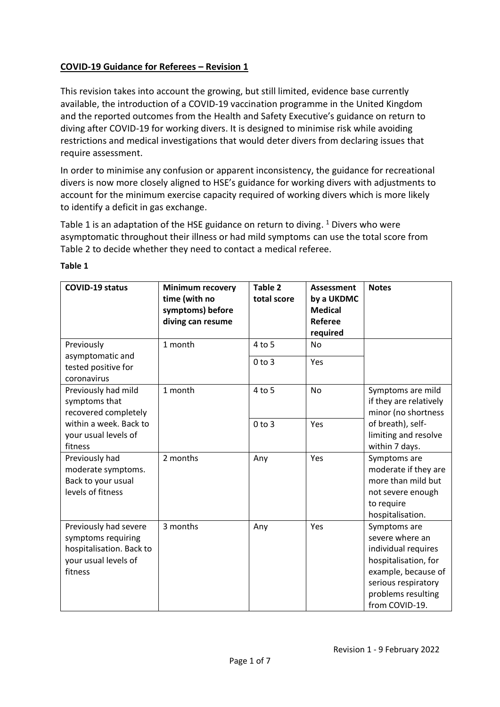## **COVID-19 Guidance for Referees – Revision 1**

This revision takes into account the growing, but still limited, evidence base currently available, the introduction of a COVID-19 vaccination programme in the United Kingdom and the reported outcomes from the Health and Safety Executive's guidance on return to diving after COVID-19 for working divers. It is designed to minimise risk while avoiding restrictions and medical investigations that would deter divers from declaring issues that require assessment.

In order to minimise any confusion or apparent inconsistency, the guidance for recreational divers is now more closely aligned to HSE's guidance for working divers with adjustments to account for the minimum exercise capacity required of working divers which is more likely to identify a deficit in gas exchange.

Table 1 is an adaptation of the HSE guidance on return to diving.  $1$  Divers who were asymptomatic throughout their illness or had mild symptoms can use the total score from Table 2 to decide whether they need to contact a medical referee.

| <b>COVID-19 status</b>                                                                                                    | <b>Minimum recovery</b><br>time (with no<br>symptoms) before<br>diving can resume | Table 2<br>total score | Assessment<br>by a UKDMC<br><b>Medical</b><br>Referee<br>required | <b>Notes</b>                                                                                                                                                         |
|---------------------------------------------------------------------------------------------------------------------------|-----------------------------------------------------------------------------------|------------------------|-------------------------------------------------------------------|----------------------------------------------------------------------------------------------------------------------------------------------------------------------|
| Previously<br>asymptomatic and<br>tested positive for<br>coronavirus                                                      | 1 month                                                                           | 4 to 5                 | No                                                                |                                                                                                                                                                      |
|                                                                                                                           |                                                                                   | $0$ to $3$             | Yes                                                               |                                                                                                                                                                      |
| Previously had mild<br>symptoms that<br>recovered completely<br>within a week. Back to<br>your usual levels of<br>fitness | 1 month                                                                           | $4$ to 5               | <b>No</b>                                                         | Symptoms are mild<br>if they are relatively<br>minor (no shortness                                                                                                   |
|                                                                                                                           |                                                                                   | $0$ to $3$             | Yes                                                               | of breath), self-<br>limiting and resolve<br>within 7 days.                                                                                                          |
| Previously had<br>moderate symptoms.<br>Back to your usual<br>levels of fitness                                           | 2 months                                                                          | Any                    | Yes                                                               | Symptoms are<br>moderate if they are<br>more than mild but<br>not severe enough<br>to require<br>hospitalisation.                                                    |
| Previously had severe<br>symptoms requiring<br>hospitalisation. Back to<br>your usual levels of<br>fitness                | 3 months                                                                          | Any                    | Yes                                                               | Symptoms are<br>severe where an<br>individual requires<br>hospitalisation, for<br>example, because of<br>serious respiratory<br>problems resulting<br>from COVID-19. |

#### **Table 1**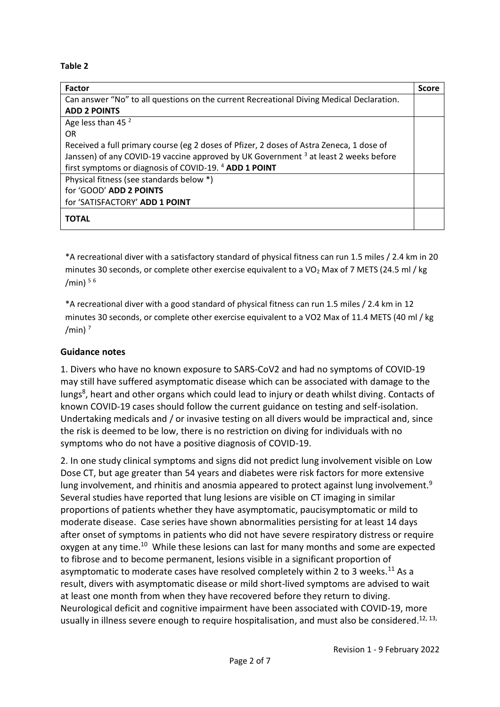#### **Table 2**

| <b>Factor</b>                                                                                   | <b>Score</b> |  |
|-------------------------------------------------------------------------------------------------|--------------|--|
| Can answer "No" to all questions on the current Recreational Diving Medical Declaration.        |              |  |
| <b>ADD 2 POINTS</b>                                                                             |              |  |
| Age less than 45 <sup>2</sup>                                                                   |              |  |
| 0R                                                                                              |              |  |
| Received a full primary course (eg 2 doses of Pfizer, 2 doses of Astra Zeneca, 1 dose of        |              |  |
| Janssen) of any COVID-19 vaccine approved by UK Government <sup>3</sup> at least 2 weeks before |              |  |
| first symptoms or diagnosis of COVID-19. <sup>4</sup> ADD 1 POINT                               |              |  |
| Physical fitness (see standards below *)                                                        |              |  |
| for 'GOOD' ADD 2 POINTS                                                                         |              |  |
| for 'SATISFACTORY' ADD 1 POINT                                                                  |              |  |
| TOTAL                                                                                           |              |  |

\*A recreational diver with a satisfactory standard of physical fitness can run 1.5 miles / 2.4 km in 20 minutes 30 seconds, or complete other exercise equivalent to a VO<sub>2</sub> Max of 7 METS (24.5 ml / kg /min)  $56$ 

\*A recreational diver with a good standard of physical fitness can run 1.5 miles / 2.4 km in 12 minutes 30 seconds, or complete other exercise equivalent to a VO2 Max of 11.4 METS (40 ml / kg /min) $<sup>7</sup>$ </sup>

#### **Guidance notes**

1. Divers who have no known exposure to SARS-CoV2 and had no symptoms of COVID-19 may still have suffered asymptomatic disease which can be associated with damage to the lungs<sup>8</sup>, heart and other organs which could lead to injury or death whilst diving. Contacts of known COVID-19 cases should follow the current guidance on testing and self-isolation. Undertaking medicals and / or invasive testing on all divers would be impractical and, since the risk is deemed to be low, there is no restriction on diving for individuals with no symptoms who do not have a positive diagnosis of COVID-19.

2. In one study clinical symptoms and signs did not predict lung involvement visible on Low Dose CT, but age greater than 54 years and diabetes were risk factors for more extensive lung involvement, and rhinitis and anosmia appeared to protect against lung involvement.<sup>9</sup> Several studies have reported that lung lesions are visible on CT imaging in similar proportions of patients whether they have asymptomatic, paucisymptomatic or mild to moderate disease. Case series have shown abnormalities persisting for at least 14 days after onset of symptoms in patients who did not have severe respiratory distress or require oxygen at any time.<sup>10</sup> While these lesions can last for many months and some are expected to fibrose and to become permanent, lesions visible in a significant proportion of asymptomatic to moderate cases have resolved completely within 2 to 3 weeks.<sup>11</sup> As a result, divers with asymptomatic disease or mild short-lived symptoms are advised to wait at least one month from when they have recovered before they return to diving. Neurological deficit and cognitive impairment have been associated with COVID-19, more usually in illness severe enough to require hospitalisation, and must also be considered.<sup>12, 13,</sup>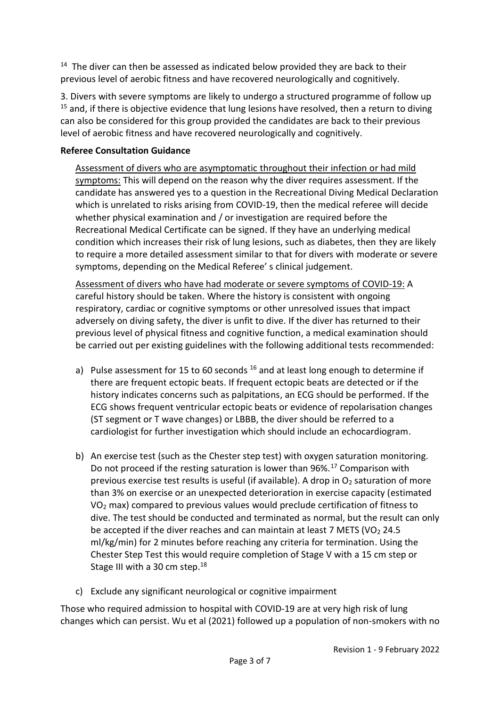$14$  The diver can then be assessed as indicated below provided they are back to their previous level of aerobic fitness and have recovered neurologically and cognitively.

3. Divers with severe symptoms are likely to undergo a structured programme of follow up  $15$  and, if there is objective evidence that lung lesions have resolved, then a return to diving can also be considered for this group provided the candidates are back to their previous level of aerobic fitness and have recovered neurologically and cognitively.

## **Referee Consultation Guidance**

Assessment of divers who are asymptomatic throughout their infection or had mild symptoms: This will depend on the reason why the diver requires assessment. If the candidate has answered yes to a question in the Recreational Diving Medical Declaration which is unrelated to risks arising from COVID-19, then the medical referee will decide whether physical examination and / or investigation are required before the Recreational Medical Certificate can be signed. If they have an underlying medical condition which increases their risk of lung lesions, such as diabetes, then they are likely to require a more detailed assessment similar to that for divers with moderate or severe symptoms, depending on the Medical Referee' s clinical judgement.

Assessment of divers who have had moderate or severe symptoms of COVID-19: A careful history should be taken. Where the history is consistent with ongoing respiratory, cardiac or cognitive symptoms or other unresolved issues that impact adversely on diving safety, the diver is unfit to dive. If the diver has returned to their previous level of physical fitness and cognitive function, a medical examination should be carried out per existing guidelines with the following additional tests recommended:

- a) Pulse assessment for 15 to 60 seconds  $16$  and at least long enough to determine if there are frequent ectopic beats. If frequent ectopic beats are detected or if the history indicates concerns such as palpitations, an ECG should be performed. If the ECG shows frequent ventricular ectopic beats or evidence of repolarisation changes (ST segment or T wave changes) or LBBB, the diver should be referred to a cardiologist for further investigation which should include an echocardiogram.
- b) An exercise test (such as the Chester step test) with oxygen saturation monitoring. Do not proceed if the resting saturation is lower than 96%.<sup>17</sup> Comparison with previous exercise test results is useful (if available). A drop in  $O<sub>2</sub>$  saturation of more than 3% on exercise or an unexpected deterioration in exercise capacity (estimated VO<sup>2</sup> max) compared to previous values would preclude certification of fitness to dive. The test should be conducted and terminated as normal, but the result can only be accepted if the diver reaches and can maintain at least 7 METS (VO<sub>2</sub> 24.5) ml/kg/min) for 2 minutes before reaching any criteria for termination. Using the Chester Step Test this would require completion of Stage V with a 15 cm step or Stage III with a 30 cm step.<sup>18</sup>
- c) Exclude any significant neurological or cognitive impairment

Those who required admission to hospital with COVID-19 are at very high risk of lung changes which can persist. Wu et al (2021) followed up a population of non-smokers with no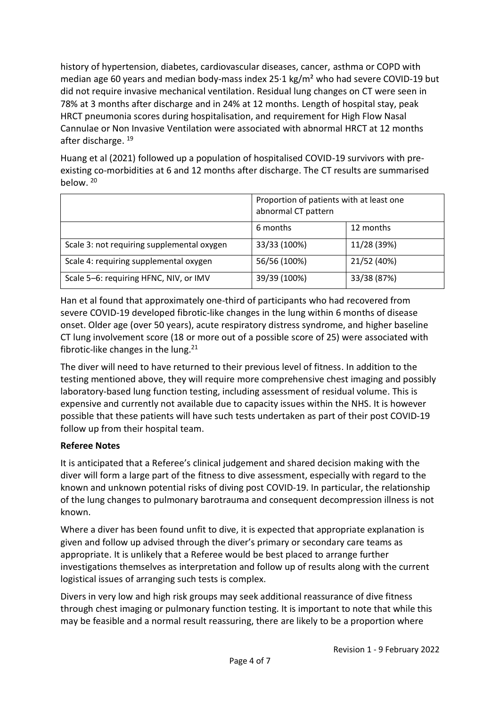history of hypertension, diabetes, cardiovascular diseases, cancer, asthma or COPD with median age 60 years and median body-mass index 25·1 kg/m² who had severe COVID-19 but did not require invasive mechanical ventilation. Residual lung changes on CT were seen in 78% at 3 months after discharge and in 24% at 12 months. Length of hospital stay, peak HRCT pneumonia scores during hospitalisation, and requirement for High Flow Nasal Cannulae or Non Invasive Ventilation were associated with abnormal HRCT at 12 months after discharge. 19

Huang et al (2021) followed up a population of hospitalised COVID-19 survivors with preexisting co-morbidities at 6 and 12 months after discharge. The CT results are summarised below. <sup>20</sup>

|                                            | Proportion of patients with at least one<br>abnormal CT pattern |             |
|--------------------------------------------|-----------------------------------------------------------------|-------------|
|                                            | 6 months                                                        | 12 months   |
| Scale 3: not requiring supplemental oxygen | 33/33 (100%)                                                    | 11/28 (39%) |
| Scale 4: requiring supplemental oxygen     | 56/56 (100%)                                                    | 21/52 (40%) |
| Scale 5-6: requiring HFNC, NIV, or IMV     | 39/39 (100%)                                                    | 33/38 (87%) |

Han et al found that approximately one-third of participants who had recovered from severe COVID-19 developed fibrotic-like changes in the lung within 6 months of disease onset. Older age (over 50 years), acute respiratory distress syndrome, and higher baseline CT lung involvement score (18 or more out of a possible score of 25) were associated with fibrotic-like changes in the lung.<sup>21</sup>

The diver will need to have returned to their previous level of fitness. In addition to the testing mentioned above, they will require more comprehensive chest imaging and possibly laboratory-based lung function testing, including assessment of residual volume. This is expensive and currently not available due to capacity issues within the NHS. It is however possible that these patients will have such tests undertaken as part of their post COVID-19 follow up from their hospital team.

# **Referee Notes**

It is anticipated that a Referee's clinical judgement and shared decision making with the diver will form a large part of the fitness to dive assessment, especially with regard to the known and unknown potential risks of diving post COVID-19. In particular, the relationship of the lung changes to pulmonary barotrauma and consequent decompression illness is not known.

Where a diver has been found unfit to dive, it is expected that appropriate explanation is given and follow up advised through the diver's primary or secondary care teams as appropriate. It is unlikely that a Referee would be best placed to arrange further investigations themselves as interpretation and follow up of results along with the current logistical issues of arranging such tests is complex.

Divers in very low and high risk groups may seek additional reassurance of dive fitness through chest imaging or pulmonary function testing. It is important to note that while this may be feasible and a normal result reassuring, there are likely to be a proportion where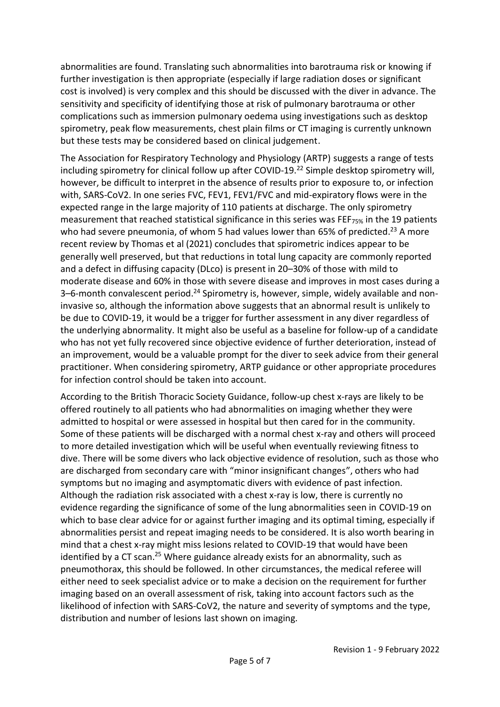abnormalities are found. Translating such abnormalities into barotrauma risk or knowing if further investigation is then appropriate (especially if large radiation doses or significant cost is involved) is very complex and this should be discussed with the diver in advance. The sensitivity and specificity of identifying those at risk of pulmonary barotrauma or other complications such as immersion pulmonary oedema using investigations such as desktop spirometry, peak flow measurements, chest plain films or CT imaging is currently unknown but these tests may be considered based on clinical judgement.

The Association for Respiratory Technology and Physiology (ARTP) suggests a range of tests including spirometry for clinical follow up after COVID-19.<sup>22</sup> Simple desktop spirometry will, however, be difficult to interpret in the absence of results prior to exposure to, or infection with, SARS-CoV2. In one series FVC, FEV1, FEV1/FVC and mid-expiratory flows were in the expected range in the large majority of 110 patients at discharge. The only spirometry measurement that reached statistical significance in this series was FEF<sub>75%</sub> in the 19 patients who had severe pneumonia, of whom 5 had values lower than 65% of predicted.<sup>23</sup> A more recent review by Thomas et al (2021) concludes that spirometric indices appear to be generally well preserved, but that reductions in total lung capacity are commonly reported and a defect in diffusing capacity (DLco) is present in 20–30% of those with mild to moderate disease and 60% in those with severe disease and improves in most cases during a 3-6-month convalescent period.<sup>24</sup> Spirometry is, however, simple, widely available and noninvasive so, although the information above suggests that an abnormal result is unlikely to be due to COVID-19, it would be a trigger for further assessment in any diver regardless of the underlying abnormality. It might also be useful as a baseline for follow-up of a candidate who has not yet fully recovered since objective evidence of further deterioration, instead of an improvement, would be a valuable prompt for the diver to seek advice from their general practitioner. When considering spirometry, ARTP guidance or other appropriate procedures for infection control should be taken into account.

According to the British Thoracic Society Guidance, follow-up chest x-rays are likely to be offered routinely to all patients who had abnormalities on imaging whether they were admitted to hospital or were assessed in hospital but then cared for in the community. Some of these patients will be discharged with a normal chest x-ray and others will proceed to more detailed investigation which will be useful when eventually reviewing fitness to dive. There will be some divers who lack objective evidence of resolution, such as those who are discharged from secondary care with "minor insignificant changes", others who had symptoms but no imaging and asymptomatic divers with evidence of past infection. Although the radiation risk associated with a chest x-ray is low, there is currently no evidence regarding the significance of some of the lung abnormalities seen in COVID-19 on which to base clear advice for or against further imaging and its optimal timing, especially if abnormalities persist and repeat imaging needs to be considered. It is also worth bearing in mind that a chest x-ray might miss lesions related to COVID-19 that would have been identified by a CT scan.<sup>25</sup> Where guidance already exists for an abnormality, such as pneumothorax, this should be followed. In other circumstances, the medical referee will either need to seek specialist advice or to make a decision on the requirement for further imaging based on an overall assessment of risk, taking into account factors such as the likelihood of infection with SARS-CoV2, the nature and severity of symptoms and the type, distribution and number of lesions last shown on imaging.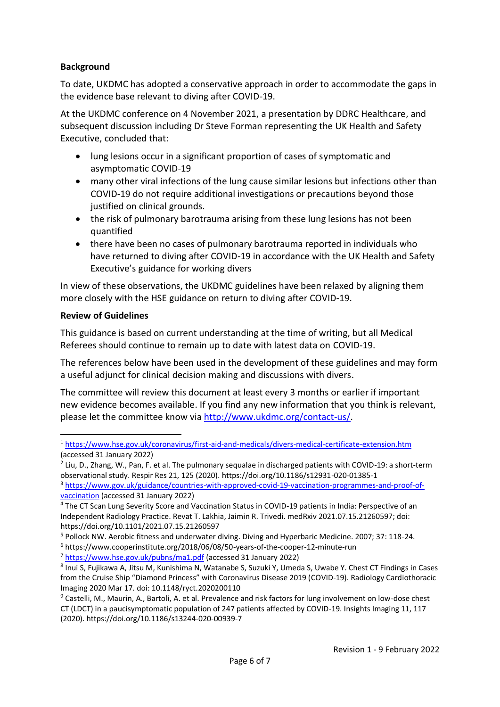### **Background**

To date, UKDMC has adopted a conservative approach in order to accommodate the gaps in the evidence base relevant to diving after COVID-19.

At the UKDMC conference on 4 November 2021, a presentation by DDRC Healthcare, and subsequent discussion including Dr Steve Forman representing the UK Health and Safety Executive, concluded that:

- lung lesions occur in a significant proportion of cases of symptomatic and asymptomatic COVID-19
- many other viral infections of the lung cause similar lesions but infections other than COVID-19 do not require additional investigations or precautions beyond those justified on clinical grounds.
- the risk of pulmonary barotrauma arising from these lung lesions has not been quantified
- there have been no cases of pulmonary barotrauma reported in individuals who have returned to diving after COVID-19 in accordance with the UK Health and Safety Executive's guidance for working divers

In view of these observations, the UKDMC guidelines have been relaxed by aligning them more closely with the HSE guidance on return to diving after COVID-19.

#### **Review of Guidelines**

This guidance is based on current understanding at the time of writing, but all Medical Referees should continue to remain up to date with latest data on COVID-19.

The references below have been used in the development of these guidelines and may form a useful adjunct for clinical decision making and discussions with divers.

The committee will review this document at least every 3 months or earlier if important new evidence becomes available. If you find any new information that you think is relevant, please let the committee know vi[a http://www.ukdmc.org/contact-us/.](http://www.ukdmc.org/contact-us/)

<sup>3</sup> [https://www.gov.uk/guidance/countries-with-approved-covid-19-vaccination-programmes-and-proof-of](https://www.gov.uk/guidance/countries-with-approved-covid-19-vaccination-programmes-and-proof-of-vaccination)[vaccination](https://www.gov.uk/guidance/countries-with-approved-covid-19-vaccination-programmes-and-proof-of-vaccination) (accessed 31 January 2022)

<sup>6</sup> https://www.cooperinstitute.org/2018/06/08/50-years-of-the-cooper-12-minute-run

<sup>7</sup> <https://www.hse.gov.uk/pubns/ma1.pdf> (accessed 31 January 2022)

<sup>1</sup> <https://www.hse.gov.uk/coronavirus/first-aid-and-medicals/divers-medical-certificate-extension.htm> (accessed 31 January 2022)

<sup>&</sup>lt;sup>2</sup> Liu, D., Zhang, W., Pan, F. et al. The pulmonary sequalae in discharged patients with COVID-19: a short-term observational study. Respir Res 21, 125 (2020). https://doi.org/10.1186/s12931-020-01385-1

<sup>4</sup> The CT Scan Lung Severity Score and Vaccination Status in COVID-19 patients in India: Perspective of an Independent Radiology Practice. Revat T. Lakhia, Jaimin R. Trivedi. medRxiv 2021.07.15.21260597; doi: https://doi.org/10.1101/2021.07.15.21260597

<sup>5</sup> Pollock NW. Aerobic fitness and underwater diving. Diving and Hyperbaric Medicine. 2007; 37: 118-24.

<sup>8</sup> Inui S, Fujikawa A, Jitsu M, Kunishima N, Watanabe S, Suzuki Y, Umeda S, Uwabe Y. Chest CT Findings in Cases from the Cruise Ship "Diamond Princess" with Coronavirus Disease 2019 (COVID-19). Radiology Cardiothoracic Imaging 2020 Mar 17. doi: 10.1148/ryct.2020200110

<sup>&</sup>lt;sup>9</sup> Castelli, M., Maurin, A., Bartoli, A. et al. Prevalence and risk factors for lung involvement on low-dose chest CT (LDCT) in a paucisymptomatic population of 247 patients affected by COVID-19. Insights Imaging 11, 117 (2020). https://doi.org/10.1186/s13244-020-00939-7